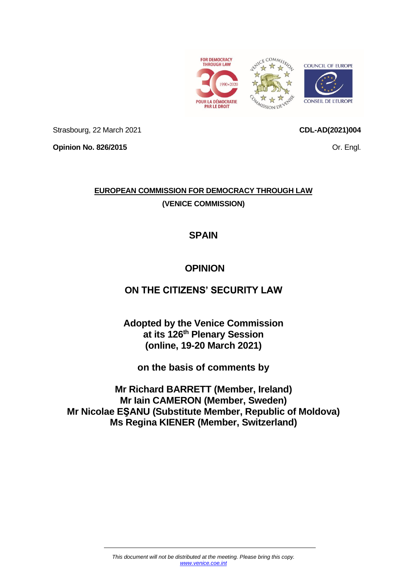

Strasbourg, 22 March 2021

**CDL-AD(2021)004**

**Opinion No. 826/2015**

Or. Engl.

# **EUROPEAN COMMISSION FOR DEMOCRACY THROUGH LAW (VENICE COMMISSION)**

# **SPAIN**

# **OPINION**

## **ON THE CITIZENS' SECURITY LAW**

**Adopted by the Venice Commission at its 126 th Plenary Session (online, 19-20 March 2021)**

**on the basis of comments by**

**Mr Richard BARRETT (Member, Ireland) Mr Iain CAMERON (Member, Sweden) Mr Nicolae EŞANU (Substitute Member, Republic of Moldova) Ms Regina KIENER (Member, Switzerland)**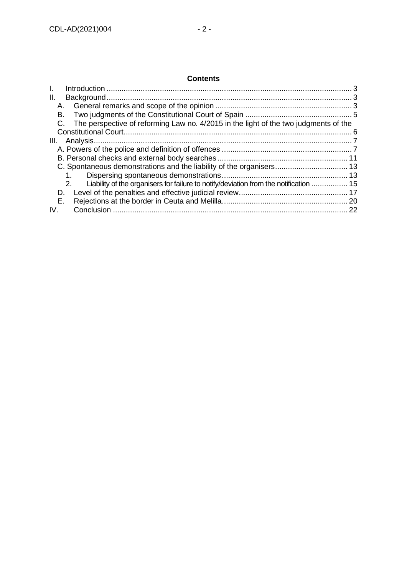## **Contents**

| Ш.   |                                                                                             |    |
|------|---------------------------------------------------------------------------------------------|----|
|      |                                                                                             |    |
| В.   |                                                                                             |    |
| C.   | The perspective of reforming Law no. 4/2015 in the light of the two judgments of the        |    |
|      |                                                                                             |    |
| III. |                                                                                             |    |
|      |                                                                                             |    |
|      |                                                                                             |    |
|      |                                                                                             |    |
|      |                                                                                             |    |
|      | Liability of the organisers for failure to notify/deviation from the notification  15<br>2. |    |
| D.   |                                                                                             |    |
| Е.   |                                                                                             |    |
| IV.  |                                                                                             | 22 |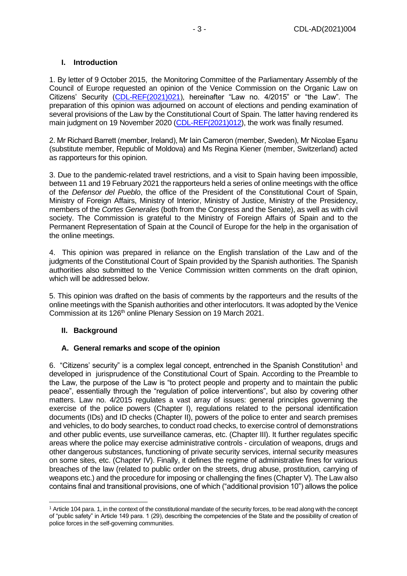## <span id="page-2-0"></span>**I. Introduction**

1. By letter of 9 October 2015, the Monitoring Committee of the Parliamentary Assembly of the Council of Europe requested an opinion of the Venice Commission on the Organic Law on Citizens' Security [\(CDL-REF\(2021\)021\)](https://venice.coe.int/webforms/documents/?pdf=CDL-REF(2021)011-e), hereinafter "Law no. 4/2015" or "the Law". The preparation of this opinion was adjourned on account of elections and pending examination of several provisions of the Law by the Constitutional Court of Spain. The latter having rendered its main judgment on 19 November 2020 [\(CDL-REF\(2021\)012\)](https://venice.coe.int/webforms/documents/?pdf=CDL-REF(2021)012-e), the work was finally resumed.

2. Mr Richard Barrett (member, Ireland), Mr Iain Cameron (member, Sweden), Mr Nicolae Eşanu (substitute member, Republic of Moldova) and Ms Regina Kiener (member, Switzerland) acted as rapporteurs for this opinion.

3. Due to the pandemic-related travel restrictions, and a visit to Spain having been impossible, between 11 and 19 February 2021 the rapporteurs held a series of online meetings with the office of the *Defensor del Pueblo*, the office of the President of the Constitutional Court of Spain, Ministry of Foreign Affairs, Ministry of Interior, Ministry of Justice, Ministry of the Presidency, members of the *Cortes Generales* (both from the Congress and the Senate), as well as with civil society. The Commission is grateful to the Ministry of Foreign Affairs of Spain and to the Permanent Representation of Spain at the Council of Europe for the help in the organisation of the online meetings.

4. This opinion was prepared in reliance on the English translation of the Law and of the judgments of the Constitutional Court of Spain provided by the Spanish authorities. The Spanish authorities also submitted to the Venice Commission written comments on the draft opinion, which will be addressed below.

5. This opinion was drafted on the basis of comments by the rapporteurs and the results of the online meetings with the Spanish authorities and other interlocutors. It was adopted by the Venice Commission at its 126<sup>th</sup> online Plenary Session on 19 March 2021.

## <span id="page-2-1"></span>**II. Background**

## <span id="page-2-2"></span>**A. General remarks and scope of the opinion**

6. "Citizens' security" is a complex legal concept, entrenched in the Spanish Constitution<sup>1</sup> and developed in jurisprudence of the Constitutional Court of Spain. According to the Preamble to the Law, the purpose of the Law is "to protect people and property and to maintain the public peace", essentially through the "regulation of police interventions", but also by covering other matters. Law no. 4/2015 regulates a vast array of issues: general principles governing the exercise of the police powers (Chapter I), regulations related to the personal identification documents (IDs) and ID checks (Chapter II), powers of the police to enter and search premises and vehicles, to do body searches, to conduct road checks, to exercise control of demonstrations and other public events, use surveillance cameras, etc. (Chapter III). It further regulates specific areas where the police may exercise administrative controls - circulation of weapons, drugs and other dangerous substances, functioning of private security services, internal security measures on some sites, etc. (Chapter IV). Finally, it defines the regime of administrative fines for various breaches of the law (related to public order on the streets, drug abuse, prostitution, carrying of weapons etc.) and the procedure for imposing or challenging the fines (Chapter V). The Law also contains final and transitional provisions, one of which ("additional provision 10") allows the police

<sup>&</sup>lt;sup>1</sup> Article 104 para. 1, in the context of the constitutional mandate of the security forces, to be read along with the concept of "public safety" in Article 149 para. 1 (29), describing the competencies of the State and the possibility of creation of police forces in the self-governing communities.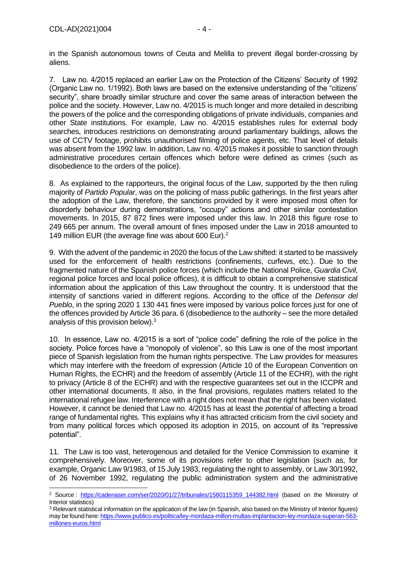in the Spanish autonomous towns of Ceuta and Melilla to prevent illegal border-crossing by aliens.

7. Law no. 4/2015 replaced an earlier Law on the Protection of the Citizens' Security of 1992 (Organic Law no. 1/1992). Both laws are based on the extensive understanding of the "citizens' security", share broadly similar structure and cover the same areas of interaction between the police and the society. However, Law no. 4/2015 is much longer and more detailed in describing the powers of the police and the corresponding obligations of private individuals, companies and other State institutions. For example, Law no. 4/2015 establishes rules for external body searches, introduces restrictions on demonstrating around parliamentary buildings, allows the use of CCTV footage, prohibits unauthorised filming of police agents, etc. That level of details was absent from the 1992 law. In addition, Law no. 4/2015 makes it possible to sanction through administrative procedures certain offences which before were defined as crimes (such as disobedience to the orders of the police).

8. As explained to the rapporteurs, the original focus of the Law, supported by the then ruling majority of *Partido Popular*, was on the policing of mass public gatherings. In the first years after the adoption of the Law, therefore, the sanctions provided by it were imposed most often for disorderly behaviour during demonstrations, "occupy" actions and other similar contestation movements. In 2015, 87 872 fines were imposed under this law. In 2018 this figure rose to 249 665 per annum. The overall amount of fines imposed under the Law in 2018 amounted to 149 million EUR (the average fine was about 600 Eur).<sup>2</sup>

9. With the advent of the pandemic in 2020 the focus of the Law shifted: it started to be massively used for the enforcement of health restrictions (confinements, curfews, etc.). Due to the fragmented nature of the Spanish police forces (which include the National Police, *Guardia Civil*, regional police forces and local police offices), it is difficult to obtain a comprehensive statistical information about the application of this Law throughout the country. It is understood that the intensity of sanctions varied in different regions. According to the office of the *Defensor del Pueblo*, in the spring 2020 1 130 441 fines were imposed by various police forces just for one of the offences provided by Article 36 para. 6 (disobedience to the authority – see the more detailed analysis of this provision below).<sup>3</sup>

10. In essence, Law no. 4/2015 is a sort of "police code" defining the role of the police in the society. Police forces have a "monopoly of violence", so this Law is one of the most important piece of Spanish legislation from the human rights perspective. The Law provides for measures which may interfere with the freedom of expression (Article 10 of the European Convention on Human Rights, the ECHR) and the freedom of assembly (Article 11 of the ECHR), with the right to privacy (Article 8 of the ECHR) and with the respective guarantees set out in the ICCPR and other international documents. It also, in the final provisions, regulates matters related to the international refugee law. Interference with a right does not mean that the right has been violated. However, it cannot be denied that Law no. 4/2015 has at least the *potential* of affecting a broad range of fundamental rights. This explains why it has attracted criticism from the civil society and from many political forces which opposed its adoption in 2015, on account of its "repressive potential".

11. The Law is too vast, heterogenous and detailed for the Venice Commission to examine it comprehensively. Moreover, some of its provisions refer to other legislation (such as, for example, Organic Law 9/1983, of 15 July 1983, regulating the right to assembly, or Law 30/1992, of 26 November 1992, regulating the public administration system and the administrative

<sup>&</sup>lt;sup>2</sup> Source: [https://cadenaser.com/ser/2020/01/27/tribunales/1580115359\\_144382.html](https://cadenaser.com/ser/2020/01/27/tribunales/1580115359_144382.html) (based on the Mininstry of Interior statistics)

<sup>&</sup>lt;sup>3</sup> Relevant statistical information on the application of the law (in Spanish, also based on the Ministry of Interior figures) may be found here[: https://www.publico.es/politica/ley-mordaza-millon-multas-implantacion-ley-mordaza-superan-563](https://www.publico.es/politica/ley-mordaza-millon-multas-implantacion-ley-mordaza-superan-563-millones-euros.html) [millones-euros.html](https://www.publico.es/politica/ley-mordaza-millon-multas-implantacion-ley-mordaza-superan-563-millones-euros.html)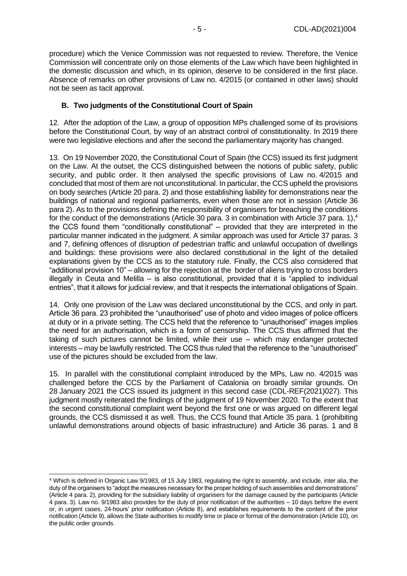procedure) which the Venice Commission was not requested to review. Therefore, the Venice Commission will concentrate only on those elements of the Law which have been highlighted in the domestic discussion and which, in its opinion, deserve to be considered in the first place. Absence of remarks on other provisions of Law no. 4/2015 (or contained in other laws) should not be seen as tacit approval.

## <span id="page-4-0"></span>**B. Two judgments of the Constitutional Court of Spain**

12. After the adoption of the Law, a group of opposition MPs challenged some of its provisions before the Constitutional Court, by way of an abstract control of constitutionality. In 2019 there were two legislative elections and after the second the parliamentary majority has changed.

13. On 19 November 2020, the Constitutional Court of Spain (the CCS) issued its first judgment on the Law. At the outset, the CCS distinguished between the notions of public safety, public security, and public order. It then analysed the specific provisions of Law no. 4/2015 and concluded that most of them are not unconstitutional. In particular, the CCS upheld the provisions on body searches (Article 20 para. 2) and those establishing liability for demonstrations near the buildings of national and regional parliaments, even when those are not in session (Article 36 para 2). As to the provisions defining the responsibility of organisers for breaching the conditions for the conduct of the demonstrations (Article 30 para. 3 in combination with Article 37 para. 1),<sup>4</sup> the CCS found them "conditionally constitutional" – provided that they are interpreted in the particular manner indicated in the judgment. A similar approach was used for Article 37 paras. 3 and 7, defining offences of disruption of pedestrian traffic and unlawful occupation of dwellings and buildings: these provisions were also declared constitutional in the light of the detailed explanations given by the CCS as to the statutory rule. Finally, the CCS also considered that "additional provision 10" – allowing for the rejection at the border of aliens trying to cross borders illegally in Ceuta and Melilla – is also constitutional, provided that it is "applied to individual entries", that it allows for judicial review, and that it respects the international obligations of Spain.

14. Only one provision of the Law was declared unconstitutional by the CCS, and only in part. Article 36 para. 23 prohibited the "unauthorised" use of photo and video images of police officers at duty or in a private setting. The CCS held that the reference to "unauthorised" images implies the need for an authorisation, which is a form of censorship. The CCS thus affirmed that the taking of such pictures cannot be limited, while their use – which may endanger protected interests – may be lawfully restricted. The CCS thus ruled that the reference to the "unauthorised" use of the pictures should be excluded from the law.

15. In parallel with the constitutional complaint introduced by the MPs, Law no. 4/2015 was challenged before the CCS by the Parliament of Catalonia on broadly similar grounds. On 28 January 2021 the CCS issued its judgment in this second case (CDL-REF(2021)027). This judgment mostly reiterated the findings of the judgment of 19 November 2020. To the extent that the second constitutional complaint went beyond the first one or was argued on different legal grounds, the CCS dismissed it as well. Thus, the CCS found that Article 35 para. 1 (prohibiting unlawful demonstrations around objects of basic infrastructure) and Article 36 paras. 1 and 8

<sup>4</sup> Which is defined in Organic Law 9/1983, of 15 July 1983, regulating the right to assembly, and include, inter alia, the duty of the organisers to "adopt the measures necessary for the proper holding of such assemblies and demonstrations" (Article 4 para. 2), providing for the subsidiary liability of organisers for the damage caused by the participants (Article 4 para. 3). Law no. 9/1983 also provides for the duty of prior notification of the authorities – 10 days before the event or, in urgent cases, 24-hours' prior notification (Article 8), and establishes requirements to the content of the prior notification (Article 9), allows the State authorities to modify time or place or format of the demonstration (Article 10), on the public order grounds.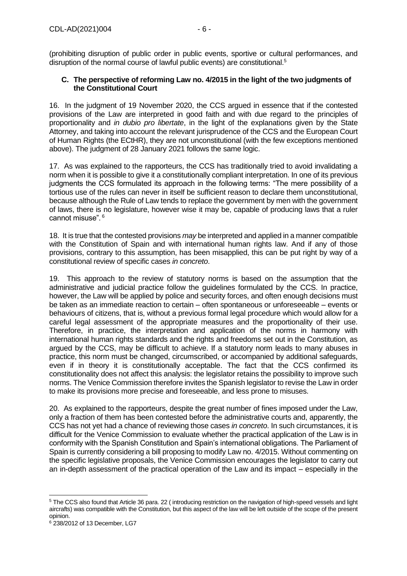(prohibiting disruption of public order in public events, sportive or cultural performances, and disruption of the normal course of lawful public events) are constitutional.<sup>5</sup>

## <span id="page-5-0"></span>**C. The perspective of reforming Law no. 4/2015 in the light of the two judgments of the Constitutional Court**

16. In the judgment of 19 November 2020, the CCS argued in essence that if the contested provisions of the Law are interpreted in good faith and with due regard to the principles of proportionality and *in dubio pro libertate*, in the light of the explanations given by the State Attorney, and taking into account the relevant jurisprudence of the CCS and the European Court of Human Rights (the ECtHR), they are not unconstitutional (with the few exceptions mentioned above). The judgment of 28 January 2021 follows the same logic.

17. As was explained to the rapporteurs, the CCS has traditionally tried to avoid invalidating a norm when it is possible to give it a constitutionally compliant interpretation. In one of its previous judgments the CCS formulated its approach in the following terms: "The mere possibility of a tortious use of the rules can never in itself be sufficient reason to declare them unconstitutional, because although the Rule of Law tends to replace the government by men with the government of laws, there is no legislature, however wise it may be, capable of producing laws that a ruler cannot misuse". <sup>6</sup>

18. It is true that the contested provisions *may* be interpreted and applied in a manner compatible with the Constitution of Spain and with international human rights law. And if any of those provisions, contrary to this assumption, has been misapplied, this can be put right by way of a constitutional review of specific cases *in concreto*.

19. This approach to the review of statutory norms is based on the assumption that the administrative and judicial practice follow the guidelines formulated by the CCS. In practice, however, the Law will be applied by police and security forces, and often enough decisions must be taken as an immediate reaction to certain – often spontaneous or unforeseeable – events or behaviours of citizens, that is, without a previous formal legal procedure which would allow for a careful legal assessment of the appropriate measures and the proportionality of their use. Therefore, in practice, the interpretation and application of the norms in harmony with international human rights standards and the rights and freedoms set out in the Constitution, as argued by the CCS, may be difficult to achieve. If a statutory norm leads to many abuses in practice, this norm must be changed, circumscribed, or accompanied by additional safeguards, even if in theory it is constitutionally acceptable. The fact that the CCS confirmed its constitutionality does not affect this analysis: the legislator retains the possibility to improve such norms. The Venice Commission therefore invites the Spanish legislator to revise the Law in order to make its provisions more precise and foreseeable, and less prone to misuses.

20. As explained to the rapporteurs, despite the great number of fines imposed under the Law, only a fraction of them has been contested before the administrative courts and, apparently, the CCS has not yet had a chance of reviewing those cases *in concreto*. In such circumstances, it is difficult for the Venice Commission to evaluate whether the practical application of the Law is in conformity with the Spanish Constitution and Spain's international obligations. The Parliament of Spain is currently considering a bill proposing to modify Law no. 4/2015. Without commenting on the specific legislative proposals, the Venice Commission encourages the legislator to carry out an in-depth assessment of the practical operation of the Law and its impact – especially in the

<sup>5</sup> The CCS also found that Article 36 para. 22 ( introducing restriction on the navigation of high-speed vessels and light aircrafts) was compatible with the Constitution, but this aspect of the law will be left outside of the scope of the present opinion.

<sup>6</sup> 238/2012 of 13 December, LG7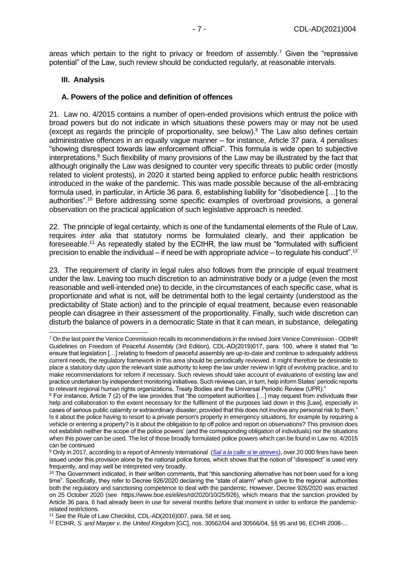areas which pertain to the right to privacy or freedom of assembly.<sup>7</sup> Given the "repressive potential" of the Law, such review should be conducted regularly, at reasonable intervals.

#### <span id="page-6-0"></span>**III. Analysis**

#### <span id="page-6-1"></span>**A. Powers of the police and definition of offences**

21. Law no. 4/2015 contains a number of open-ended provisions which entrust the police with broad powers but do not indicate in which situations these powers may or may not be used (except as regards the principle of proportionality, see below).<sup>8</sup> The Law also defines certain administrative offences in an equally vague manner – for instance, Article 37 para. 4 penalises "showing disrespect towards law enforcement official". This formula is wide open to subjective interpretations.<sup>9</sup> Such flexibility of many provisions of the Law may be illustrated by the fact that although originally the Law was designed to counter very specific threats to public order (mostly related to violent protests), in 2020 it started being applied to enforce public health restrictions introduced in the wake of the pandemic. This was made possible because of the all-embracing formula used, in particular, in Article 36 para. 6, establishing liability for "disobedience […] to the authorities".<sup>10</sup> Before addressing some specific examples of overbroad provisions, a general observation on the practical application of such legislative approach is needed.

22. The principle of legal certainty, which is one of the fundamental elements of the Rule of Law, requires *inter alia* that statutory norms be formulated clearly, and their application be foreseeable.<sup>11</sup> As repeatedly stated by the ECtHR, the law must be "formulated with sufficient precision to enable the individual – if need be with appropriate advice – to regulate his conduct".<sup>12</sup>

23. The requirement of clarity in legal rules also follows from the principle of equal treatment under the law. Leaving too much discretion to an administrative body or a judge (even the most reasonable and well-intended one) to decide, in the circumstances of each specific case, what is proportionate and what is not, will be detrimental both to the legal certainty (understood as the predictability of State action) and to the principle of equal treatment, because even reasonable people can disagree in their assessment of the proportionality. Finally, such wide discretion can disturb the balance of powers in a democratic State in that it can mean, in substance, delegating

<sup>7</sup> On the last point the Venice Commission recalls its recommendations in the revised Joint Venice Commission - ODIHR Guidelines on Freedom of Peaceful Assembly (3rd Edition), CDL-AD(2019)017, para. 100, where it stated that "to ensure that legislation […] relating to freedom of peaceful assembly are up-to-date and continue to adequately address current needs, the regulatory framework in this area should be periodically reviewed. It might therefore be desirable to place a statutory duty upon the relevant state authority to keep the law under review in light of evolving practice, and to make recommendations for reform if necessary. Such reviews should take account of evaluations of existing law and practice undertaken by independent monitoring initiatives. Such reviews can, in turn, help inform States' periodic reports to relevant regional human rights organizations, Treaty Bodies and the Universal Periodic Review (UPR)."

<sup>8</sup> For instance, Article 7 (2) of the law provides that "the competent authorities […] may request from individuals their help and collaboration to the extent necessary for the fulfilment of the purposes laid down in this [Law], especially in cases of serious public calamity or extraordinary disaster, provided that this does not involve any personal risk to them." Is it about the police having to resort to a private person's property in emergency situations, for example by requiring a vehicle or entering a property? Is it about the obligation to tip off police and report on observations? This provision does not establish neither the scope of the police powers' (and the corresponding obligation of individuals) nor the situations when this power can be used. The list of those broadly formulated police powers which can be found in Law no. 4/2015 can be continued

<sup>9</sup> Only in 2017, according to a report of Amnesty International (*[Sal a la calle si te atreves](https://doc.es.amnesty.org/ms-opac/recordmedia/1@000030148/object/38826/raw)*), over 20 000 fines have been issued under this provision alone by the national police forces, which shows that the notion of "disrespect" is used very frequently, and may well be interpreted very broadly.

<sup>&</sup>lt;sup>10</sup> The Government indicated, in their written comments, that "this sanctioning alternative has not been used for a long time". Specifically, they refer to Decree 926/2020 declaring the "state of alarm" which gave to the regional authorities both the regulatory and sanctioning competence to deal with the pandemic. However, Decree 926/2020 was enacted on 25 October 2020 (see https://www.boe.es/eli/es/rd/2020/10/25/926), which means that the sanction provided by Article 36 para. 6 had already been in use for several months before that moment in order to enforce the pandemicrelated restrictions.

<sup>&</sup>lt;sup>11</sup> See the Rule of Law Checklist, CDL-AD(2016)007, para. 58 et seq.

<sup>12</sup> ECtHR, *S. and Marper v. the United Kingdom* [GC], nos. 30562/04 and 30566/04, §§ 95 and 96, ECHR 2008-...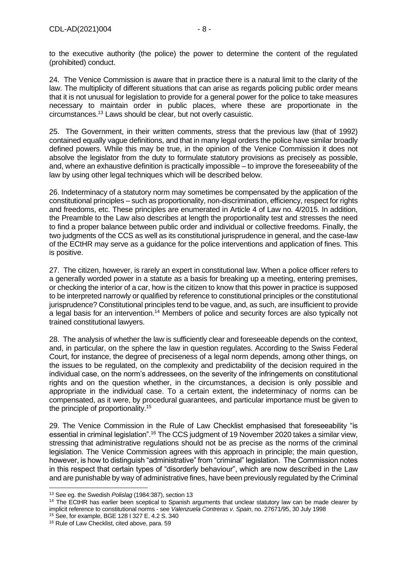to the executive authority (the police) the power to determine the content of the regulated (prohibited) conduct.

24. The Venice Commission is aware that in practice there is a natural limit to the clarity of the law. The multiplicity of different situations that can arise as regards policing public order means that it is not unusual for legislation to provide for a general power for the police to take measures necessary to maintain order in public places, where these are proportionate in the circumstances.<sup>13</sup> Laws should be clear, but not overly casuistic.

25. The Government, in their written comments, stress that the previous law (that of 1992) contained equally vague definitions, and that in many legal orders the police have similar broadly defined powers. While this may be true, in the opinion of the Venice Commission it does not absolve the legislator from the duty to formulate statutory provisions as precisely as possible, and, where an exhaustive definition is practically impossible – to improve the foreseeability of the law by using other legal techniques which will be described below.

26. Indeterminacy of a statutory norm may sometimes be compensated by the application of the constitutional principles – such as proportionality, non-discrimination, efficiency, respect for rights and freedoms, etc. These principles are enumerated in Article 4 of Law no. 4/2015. In addition, the Preamble to the Law also describes at length the proportionality test and stresses the need to find a proper balance between public order and individual or collective freedoms. Finally, the two judgments of the CCS as well as its constitutional jurisprudence in general, and the case-law of the ECtHR may serve as a guidance for the police interventions and application of fines. This is positive.

27. The citizen, however, is rarely an expert in constitutional law. When a police officer refers to a generally worded power in a statute as a basis for breaking up a meeting, entering premises, or checking the interior of a car, how is the citizen to know that this power in practice is supposed to be interpreted narrowly or qualified by reference to constitutional principles or the constitutional jurisprudence? Constitutional principles tend to be vague, and, as such, are insufficient to provide a legal basis for an intervention.<sup>14</sup> Members of police and security forces are also typically not trained constitutional lawyers.

28. The analysis of whether the law is sufficiently clear and foreseeable depends on the context, and, in particular, on the sphere the law in question regulates. According to the Swiss Federal Court, for instance, the degree of preciseness of a legal norm depends, among other things, on the issues to be regulated, on the complexity and predictability of the decision required in the individual case, on the norm's addressees, on the severity of the infringements on constitutional rights and on the question whether, in the circumstances, a decision is only possible and appropriate in the individual case. To a certain extent, the indeterminacy of norms can be compensated, as it were, by procedural guarantees, and particular importance must be given to the principle of proportionality.<sup>15</sup>

29. The Venice Commission in the Rule of Law Checklist emphasised that foreseeability "is essential in criminal legislation".<sup>16</sup> The CCS judgment of 19 November 2020 takes a similar view, stressing that administrative regulations should not be as precise as the norms of the criminal legislation. The Venice Commission agrees with this approach in principle; the main question, however, is how to distinguish "administrative" from "criminal" legislation. The Commission notes in this respect that certain types of "disorderly behaviour", which are now described in the Law and are punishable by way of administrative fines, have been previously regulated by the Criminal

<sup>15</sup> See, for example, BGE 128 I 327 E. 4.2 S. 340

<sup>13</sup> See eg. the Swedish *Polislag* (1984:387), section 13

<sup>&</sup>lt;sup>14</sup> The ECtHR has earlier been sceptical to Spanish arguments that unclear statutory law can be made clearer by implicit reference to constitutional norms - see *Valenzuela Contreras v. Spain*, no. 27671/95, 30 July 1998

<sup>&</sup>lt;sup>16</sup> Rule of Law Checklist, cited above, para. 59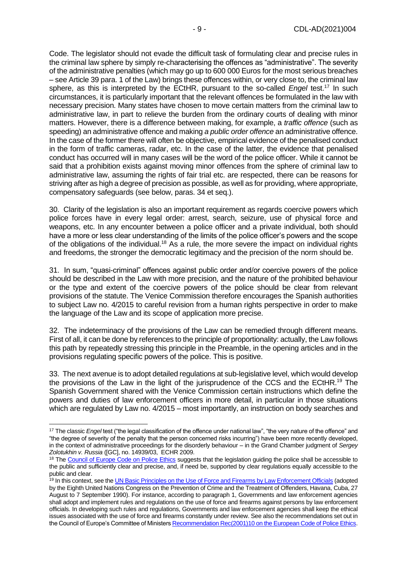Code. The legislator should not evade the difficult task of formulating clear and precise rules in the criminal law sphere by simply re-characterising the offences as "administrative". The severity of the administrative penalties (which may go up to 600 000 Euros for the most serious breaches – see Article 39 para. 1 of the Law) brings these offences within, or very close to, the criminal law sphere, as this is interpreted by the ECtHR, pursuant to the so-called *Engel* test.<sup>17</sup> In such circumstances, it is particularly important that the relevant offences be formulated in the law with necessary precision. Many states have chosen to move certain matters from the criminal law to administrative law, in part to relieve the burden from the ordinary courts of dealing with minor matters. However, there is a difference between making, for example, a *traffic offence* (such as speeding) an administrative offence and making *a public order offence* an administrative offence. In the case of the former there will often be objective, empirical evidence of the penalised conduct in the form of traffic cameras, radar, etc. In the case of the latter, the evidence that penalised conduct has occurred will in many cases will be the word of the police officer. While it cannot be said that a prohibition exists against moving minor offences from the sphere of criminal law to administrative law, assuming the rights of fair trial etc. are respected, there can be reasons for striving after as high a degree of precision as possible, as well as for providing, where appropriate, compensatory safeguards (see below, paras. 34 et seq.).

30. Clarity of the legislation is also an important requirement as regards coercive powers which police forces have in every legal order: arrest, search, seizure, use of physical force and weapons, etc. In any encounter between a police officer and a private individual, both should have a more or less clear understanding of the limits of the police officer's powers and the scope of the obligations of the individual.<sup>18</sup> As a rule, the more severe the impact on individual rights and freedoms, the stronger the democratic legitimacy and the precision of the norm should be.

31. In sum, "quasi-criminal" offences against public order and/or coercive powers of the police should be described in the Law with more precision, and the nature of the prohibited behaviour or the type and extent of the coercive powers of the police should be clear from relevant provisions of the statute. The Venice Commission therefore encourages the Spanish authorities to subject Law no. 4/2015 to careful revision from a human rights perspective in order to make the language of the Law and its scope of application more precise.

32. The indeterminacy of the provisions of the Law can be remedied through different means. First of all, it can be done by references to the principle of proportionality: actually, the Law follows this path by repeatedly stressing this principle in the Preamble, in the opening articles and in the provisions regulating specific powers of the police. This is positive.

33. The next avenue is to adopt detailed regulations at sub-legislative level, which would develop the provisions of the Law in the light of the jurisprudence of the CCS and the ECtHR.<sup>19</sup> The Spanish Government shared with the Venice Commission certain instructions which define the powers and duties of law enforcement officers in more detail, in particular in those situations which are regulated by Law no.  $4/2015$  – most importantly, an instruction on body searches and

<sup>17</sup> The classic *Engel* test ("the legal classification of the offence under national law", "the very nature of the offence" and "the degree of severity of the penalty that the person concerned risks incurring") have been more recently developed, in the context of administrative proceedings for the disorderly behaviour – in the Grand Chamber judgment of *Sergey Zolotukhin v. Russia* ([GC], no. 14939/03, ECHR 2009.

<sup>&</sup>lt;sup>18</sup> The [Council of Europe Code on Police Ethics](https://rm.coe.int/16805e297e) suggests that the legislation guiding the police shall be accessible to the public and sufficiently clear and precise, and, if need be, supported by clear regulations equally accessible to the public and clear.

<sup>&</sup>lt;sup>19</sup> In this context, see th[e UN Basic Principles on the Use of Force and Firearms by Law Enforcement Officials](https://www.ohchr.org/en/professionalinterest/pages/useofforceandfirearms.aspx) (adopted by the Eighth United Nations Congress on the Prevention of Crime and the Treatment of Offenders, Havana, Cuba, 27 August to 7 September 1990). For instance, according to paragraph 1, Governments and law enforcement agencies shall adopt and implement rules and regulations on the use of force and firearms against persons by law enforcement officials. In developing such rules and regulations, Governments and law enforcement agencies shall keep the ethical issues associated with the use of force and firearms constantly under review. See also the recommendations set out in the Council of Europe's Committee of Minister[s Recommendation Rec\(2001\)10 on the European Code of Police Ethics.](https://rm.coe.int/16805e297e)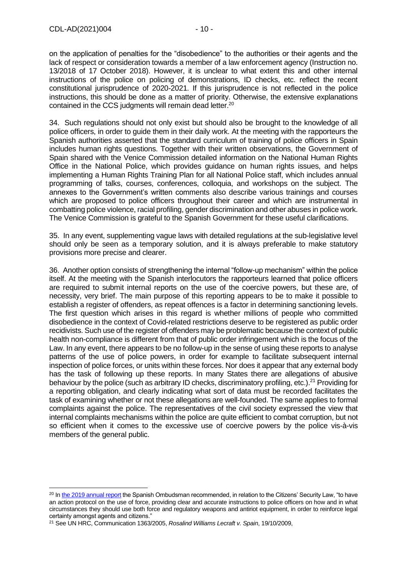on the application of penalties for the "disobedience" to the authorities or their agents and the lack of respect or consideration towards a member of a law enforcement agency (Instruction no. 13/2018 of 17 October 2018). However, it is unclear to what extent this and other internal instructions of the police on policing of demonstrations, ID checks, etc. reflect the recent constitutional jurisprudence of 2020-2021. If this jurisprudence is not reflected in the police instructions, this should be done as a matter of priority. Otherwise, the extensive explanations contained in the CCS judgments will remain dead letter.<sup>20</sup>

34. Such regulations should not only exist but should also be brought to the knowledge of all police officers, in order to guide them in their daily work. At the meeting with the rapporteurs the Spanish authorities asserted that the standard curriculum of training of police officers in Spain includes human rights questions. Together with their written observations, the Government of Spain shared with the Venice Commission detailed information on the National Human Rights Office in the National Police, which provides guidance on human rights issues, and helps implementing a Human Rights Training Plan for all National Police staff, which includes annual programming of talks, courses, conferences, colloquia, and workshops on the subject. The annexes to the Government's written comments also describe various trainings and courses which are proposed to police officers throughout their career and which are instrumental in combatting police violence, racial profiling, gender discrimination and other abuses in police work. The Venice Commission is grateful to the Spanish Government for these useful clarifications.

35. In any event, supplementing vague laws with detailed regulations at the sub-legislative level should only be seen as a temporary solution, and it is always preferable to make statutory provisions more precise and clearer.

36. Another option consists of strengthening the internal "follow-up mechanism" within the police itself. At the meeting with the Spanish interlocutors the rapporteurs learned that police officers are required to submit internal reports on the use of the coercive powers, but these are, of necessity, very brief. The main purpose of this reporting appears to be to make it possible to establish a register of offenders, as repeat offences is a factor in determining sanctioning levels. The first question which arises in this regard is whether millions of people who committed disobedience in the context of Covid-related restrictions deserve to be registered as public order recidivists. Such use of the register of offenders may be problematic because the context of public health non-compliance is different from that of public order infringement which is the focus of the Law. In any event, there appears to be no follow-up in the sense of using these reports to analyse patterns of the use of police powers, in order for example to facilitate subsequent internal inspection of police forces, or units within these forces. Nor does it appear that any external body has the task of following up these reports. In many States there are allegations of abusive behaviour by the police (such as arbitrary ID checks, discriminatory profiling, etc.).<sup>21</sup> Providing for a reporting obligation, and clearly indicating what sort of data must be recorded facilitates the task of examining whether or not these allegations are well-founded. The same applies to formal complaints against the police. The representatives of the civil society expressed the view that internal complaints mechanisms within the police are quite efficient to combat corruption, but not so efficient when it comes to the excessive use of coercive powers by the police vis-à-vis members of the general public.

<sup>&</sup>lt;sup>20</sup> I[n the 2019 annual report](https://www.defensordelpueblo.es/en/wp-content/uploads/sites/2/2020/06/2019-_Summary_Annual_Report-1.pdf) the Spanish Ombudsman recommended, in relation to the Citizens' Security Law, "to have an action protocol on the use of force, providing clear and accurate instructions to police officers on how and in what circumstances they should use both force and regulatory weapons and antiriot equipment, in order to reinforce legal certainty amongst agents and citizens."

<sup>21</sup> See UN HRC, Communication 1363/2005, *Rosalind Williams Lecraft v. Spain*, 19/10/2009,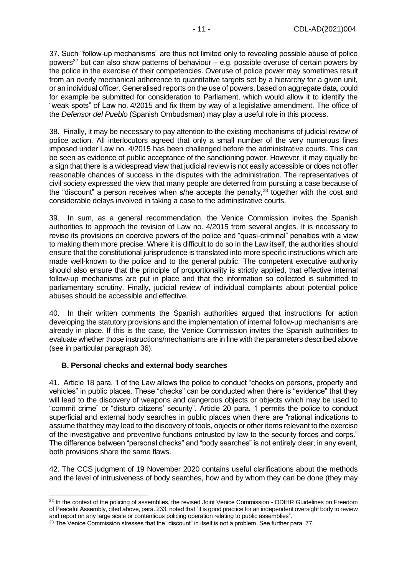37. Such "follow-up mechanisms" are thus not limited only to revealing possible abuse of police powers<sup>22</sup> but can also show patterns of behaviour – e.g. possible overuse of certain powers by the police in the exercise of their competencies. Overuse of police power may sometimes result from an overly mechanical adherence to quantitative targets set by a hierarchy for a given unit, or an individual officer. Generalised reports on the use of powers, based on aggregate data, could for example be submitted for consideration to Parliament, which would allow it to identify the "weak spots" of Law no. 4/2015 and fix them by way of a legislative amendment. The office of the *Defensor del Pueblo* (Spanish Ombudsman) may play a useful role in this process.

38. Finally, it may be necessary to pay attention to the existing mechanisms of judicial review of police action. All interlocutors agreed that only a small number of the very numerous fines imposed under Law no. 4/2015 has been challenged before the administrative courts. This can be seen as evidence of public acceptance of the sanctioning power. However, it may equally be a sign that there is a widespread view that judicial review is not easily accessible or does not offer reasonable chances of success in the disputes with the administration. The representatives of civil society expressed the view that many people are deterred from pursuing a case because of the "discount" a person receives when s/he accepts the penalty, $^{23}$  together with the cost and considerable delays involved in taking a case to the administrative courts.

39. In sum, as a general recommendation, the Venice Commission invites the Spanish authorities to approach the revision of Law no. 4/2015 from several angles. It is necessary to revise its provisions on coercive powers of the police and "quasi-criminal" penalties with a view to making them more precise. Where it is difficult to do so in the Law itself, the authorities should ensure that the constitutional jurisprudence is translated into more specific instructions which are made well-known to the police and to the general public. The competent executive authority should also ensure that the principle of proportionality is strictly applied, that effective internal follow-up mechanisms are put in place and that the information so collected is submitted to parliamentary scrutiny. Finally, judicial review of individual complaints about potential police abuses should be accessible and effective.

40. In their written comments the Spanish authorities argued that instructions for action developing the statutory provisions and the implementation of internal follow-up mechanisms are already in place. If this is the case, the Venice Commission invites the Spanish authorities to evaluate whether those instructions/mechanisms are in line with the parameters described above (see in particular paragraph 36).

#### <span id="page-10-0"></span>**B. Personal checks and external body searches**

41. Article 18 para. 1 of the Law allows the police to conduct "checks on persons, property and vehicles" in public places. These "checks" can be conducted when there is "evidence" that they will lead to the discovery of weapons and dangerous objects or objects which may be used to "commit crime" or "disturb citizens' security". Article 20 para. 1 permits the police to conduct superficial and external body searches in public places when there are "rational indications to assume that they may lead to the discovery of tools, objects or other items relevant to the exercise of the investigative and preventive functions entrusted by law to the security forces and corps." The difference between "personal checks" and "body searches" is not entirely clear; in any event, both provisions share the same flaws.

42. The CCS judgment of 19 November 2020 contains useful clarifications about the methods and the level of intrusiveness of body searches, how and by whom they can be done (they may

<sup>&</sup>lt;sup>22</sup> In the context of the policing of assemblies, the revised Joint Venice Commission - ODIHR Guidelines on Freedom of Peaceful Assembly, cited above, para. 233, noted that "it is good practice for an independent oversight body to review and report on any large scale or contentious policing operation relating to public assemblies".

<sup>&</sup>lt;sup>23</sup> The Venice Commission stresses that the "discount" in itself is not a problem. See further para. 77.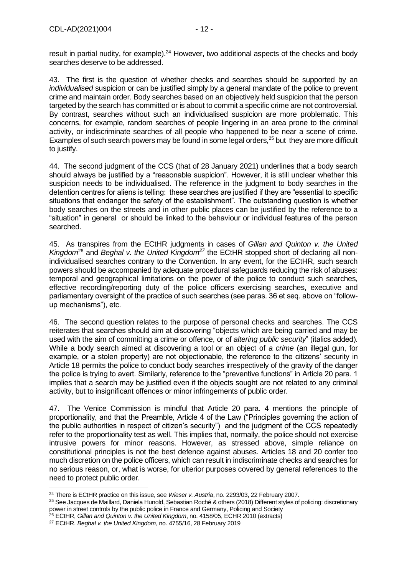result in partial nudity, for example).<sup>24</sup> However, two additional aspects of the checks and body searches deserve to be addressed.

43. The first is the question of whether checks and searches should be supported by an *individualised* suspicion or can be justified simply by a general mandate of the police to prevent crime and maintain order. Body searches based on an objectively held suspicion that the person targeted by the search has committed or is about to commit a specific crime are not controversial. By contrast, searches without such an individualised suspicion are more problematic. This concerns, for example, random searches of people lingering in an area prone to the criminal activity, or indiscriminate searches of all people who happened to be near a scene of crime. Examples of such search powers may be found in some legal orders.<sup>25</sup> but they are more difficult to justify.

44. The second judgment of the CCS (that of 28 January 2021) underlines that a body search should always be justified by a "reasonable suspicion". However, it is still unclear whether this suspicion needs to be individualised. The reference in the judgment to body searches in the detention centres for aliens is telling: these searches are justified if they are "essential to specific situations that endanger the safety of the establishment". The outstanding question is whether body searches on the streets and in other public places can be justified by the reference to a "situation" in general or should be linked to the behaviour or individual features of the person searched.

45. As transpires from the ECtHR judgments in cases of *Gillan and Quinton v. the United Kingdom*<sup>26</sup> and *Beghal v. the United Kingdom<sup>27</sup>* the ECtHR stopped short of declaring all nonindividualised searches contrary to the Convention. In any event, for the ECtHR, such search powers should be accompanied by adequate procedural safeguards reducing the risk of abuses: temporal and geographical limitations on the power of the police to conduct such searches, effective recording/reporting duty of the police officers exercising searches, executive and parliamentary oversight of the practice of such searches (see paras. 36 et seq. above on "followup mechanisms"), etc.

46. The second question relates to the purpose of personal checks and searches. The CCS reiterates that searches should aim at discovering "objects which are being carried and may be used with the aim of committing a crime or offence, or of *altering public security*" (italics added). While a body search aimed at discovering a tool or an object of *a crime* (an illegal gun, for example, or a stolen property) are not objectionable, the reference to the citizens' security in Article 18 permits the police to conduct body searches irrespectively of the gravity of the danger the police is trying to avert. Similarly, reference to the "preventive functions" in Article 20 para. 1 implies that a search may be justified even if the objects sought are not related to any criminal activity, but to insignificant offences or minor infringements of public order.

47. The Venice Commission is mindful that Article 20 para. 4 mentions the principle of proportionality, and that the Preamble, Article 4 of the Law ("Principles governing the action of the public authorities in respect of citizen's security") and the judgment of the CCS repeatedly refer to the proportionality test as well. This implies that, normally, the police should not exercise intrusive powers for minor reasons. However, as stressed above, simple reliance on constitutional principles is not the best defence against abuses. Articles 18 and 20 confer too much discretion on the police officers, which can result in indiscriminate checks and searches for no serious reason, or, what is worse, for ulterior purposes covered by general references to the need to protect public order.

<sup>24</sup> There is ECtHR practice on this issue, see *Wieser v. Austria*, no. 2293/03, 22 February 2007.

<sup>25</sup> See Jacques de Maillard, Daniela Hunold, Sebastian Roché & others (2018) Different styles of policing: discretionary power in street controls by the public police in France and Germany, Policing and Society

<sup>26</sup> ECtHR, *Gillan and Quinton v. the United Kingdom*, no. 4158/05, ECHR 2010 (extracts)

<sup>27</sup> ECtHR, *Beghal v. the United Kingdom*, no. 4755/16, 28 February 2019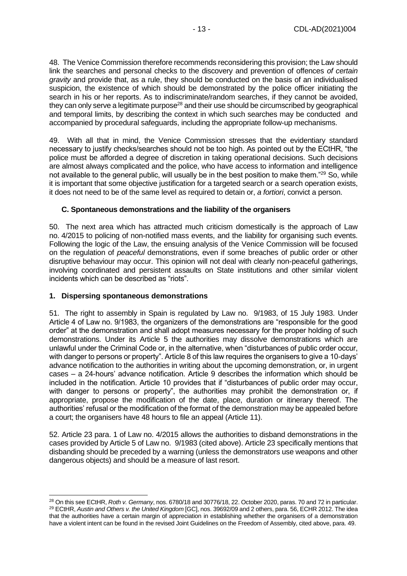48. The Venice Commission therefore recommends reconsidering this provision; the Law should link the searches and personal checks to the discovery and prevention of offences *of certain gravity* and provide that, as a rule, they should be conducted on the basis of an individualised suspicion, the existence of which should be demonstrated by the police officer initiating the search in his or her reports. As to indiscriminate/random searches, if they cannot be avoided, they can only serve a legitimate purpose<sup>28</sup> and their use should be circumscribed by geographical and temporal limits, by describing the context in which such searches may be conducted and accompanied by procedural safeguards, including the appropriate follow-up mechanisms.

49. With all that in mind, the Venice Commission stresses that the evidentiary standard necessary to justify checks/searches should not be too high. As pointed out by the ECtHR, "the police must be afforded a degree of discretion in taking operational decisions. Such decisions are almost always complicated and the police, who have access to information and intelligence not available to the general public, will usually be in the best position to make them."<sup>29</sup> So, while it is important that some objective justification for a targeted search or a search operation exists, it does not need to be of the same level as required to detain or, *a fortiori*, convict a person.

## <span id="page-12-0"></span>**C. Spontaneous demonstrations and the liability of the organisers**

50. The next area which has attracted much criticism domestically is the approach of Law no. 4/2015 to policing of non-notified mass events, and the liability for organising such events. Following the logic of the Law, the ensuing analysis of the Venice Commission will be focused on the regulation of *peaceful* demonstrations, even if some breaches of public order or other disruptive behaviour may occur. This opinion will not deal with clearly non-peaceful gatherings, involving coordinated and persistent assaults on State institutions and other similar violent incidents which can be described as "riots".

#### <span id="page-12-1"></span>**1. Dispersing spontaneous demonstrations**

51. The right to assembly in Spain is regulated by Law no. 9/1983, of 15 July 1983. Under Article 4 of Law no. 9/1983, the organizers of the demonstrations are "responsible for the good order" at the demonstration and shall adopt measures necessary for the proper holding of such demonstrations. Under its Article 5 the authorities may dissolve demonstrations which are unlawful under the Criminal Code or, in the alternative, when "disturbances of public order occur, with danger to persons or property". Article 8 of this law requires the organisers to give a 10-days' advance notification to the authorities in writing about the upcoming demonstration, or, in urgent cases – a 24-hours' advance notification. Article 9 describes the information which should be included in the notification. Article 10 provides that if "disturbances of public order may occur, with danger to persons or property", the authorities may prohibit the demonstration or, if appropriate, propose the modification of the date, place, duration or itinerary thereof. The authorities' refusal or the modification of the format of the demonstration may be appealed before a court; the organisers have 48 hours to file an appeal (Article 11).

52. Article 23 para. 1 of Law no. 4/2015 allows the authorities to disband demonstrations in the cases provided by Article 5 of Law no. 9/1983 (cited above). Article 23 specifically mentions that disbanding should be preceded by a warning (unless the demonstrators use weapons and other dangerous objects) and should be a measure of last resort.

<sup>28</sup> On this see ECtHR, *Roth v. Germany*, nos. 6780/18 and 30776/18, 22. October 2020, paras. 70 and 72 in particular. <sup>29</sup> ECtHR, *Austin and Others v. the United Kingdom* [GC], nos. 39692/09 and 2 others, para. 56, ECHR 2012. The idea that the authorities have a certain margin of appreciation in establishing whether the organisers of a demonstration have a violent intent can be found in the revised Joint Guidelines on the Freedom of Assembly, cited above, para. 49.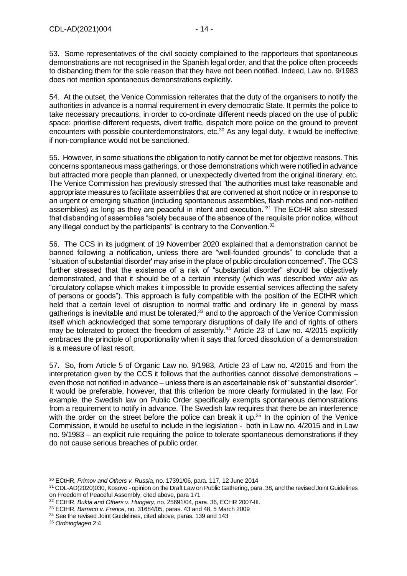53. Some representatives of the civil society complained to the rapporteurs that spontaneous demonstrations are not recognised in the Spanish legal order, and that the police often proceeds to disbanding them for the sole reason that they have not been notified. Indeed, Law no. 9/1983 does not mention spontaneous demonstrations explicitly.

54. At the outset, the Venice Commission reiterates that the duty of the organisers to notify the authorities in advance is a normal requirement in every democratic State. It permits the police to take necessary precautions, in order to co-ordinate different needs placed on the use of public space: prioritise different requests, divert traffic, dispatch more police on the ground to prevent encounters with possible counterdemonstrators, etc.<sup>30</sup> As any legal duty, it would be ineffective if non-compliance would not be sanctioned.

55. However, in some situations the obligation to notify cannot be met for objective reasons. This concerns spontaneous mass gatherings, or those demonstrations which were notified in advance but attracted more people than planned, or unexpectedly diverted from the original itinerary, etc. The Venice Commission has previously stressed that "the authorities must take reasonable and appropriate measures to facilitate assemblies that are convened at short notice or in response to an urgent or emerging situation (including spontaneous assemblies, flash mobs and non-notified assemblies) as long as they are peaceful in intent and execution."<sup>31</sup> The ECtHR also stressed that disbanding of assemblies "solely because of the absence of the requisite prior notice, without any illegal conduct by the participants" is contrary to the Convention.<sup>32</sup>

56. The CCS in its judgment of 19 November 2020 explained that a demonstration cannot be banned following a notification, unless there are "well-founded grounds" to conclude that a "situation of substantial disorder' may arise in the place of public circulation concerned". The CCS further stressed that the existence of a risk of "substantial disorder" should be objectively demonstrated, and that it should be of a certain intensity (which was described *inter alia* as "circulatory collapse which makes it impossible to provide essential services affecting the safety of persons or goods"). This approach is fully compatible with the position of the ECtHR which held that a certain level of disruption to normal traffic and ordinary life in general by mass gatherings is inevitable and must be tolerated,<sup>33</sup> and to the approach of the Venice Commission itself which acknowledged that some temporary disruptions of daily life and of rights of others may be tolerated to protect the freedom of assembly.<sup>34</sup> Article 23 of Law no. 4/2015 explicitly embraces the principle of proportionality when it says that forced dissolution of a demonstration is a measure of last resort.

57. So, from Article 5 of Organic Law no. 9/1983, Article 23 of Law no. 4/2015 and from the interpretation given by the CCS it follows that the authorities cannot dissolve demonstrations – even those not notified in advance – unless there is an ascertainable risk of "substantial disorder". It would be preferable, however, that this criterion be more clearly formulated in the law. For example, the Swedish law on Public Order specifically exempts spontaneous demonstrations from a requirement to notify in advance. The Swedish law requires that there be an interference with the order on the street before the police can break it up.<sup>35</sup> In the opinion of the Venice Commission, it would be useful to include in the legislation - both in Law no. 4/2015 and in Law no. 9/1983 – an explicit rule requiring the police to tolerate spontaneous demonstrations if they do not cause serious breaches of public order.

<sup>30</sup> ECtHR, *Primov and Others v. Russia*, no. 17391/06, para. 117, 12 June 2014

<sup>31</sup> CDL-AD(2020)030, Kosovo - opinion on the Draft Law on Public Gathering, para. 38, and the revised Joint Guidelines on Freedom of Peaceful Assembly, cited above, para 171

<sup>32</sup> ECtHR, *Bukta and Others v. Hungary*, no. 25691/04, para. 36, ECHR 2007-III.

<sup>33</sup> ECtHR, *Barraco v. France*, no. 31684/05, paras. 43 and 48, 5 March 2009

<sup>&</sup>lt;sup>34</sup> See the revised Joint Guidelines, cited above, paras. 139 and 143

<sup>35</sup> *Ordninglagen* 2:4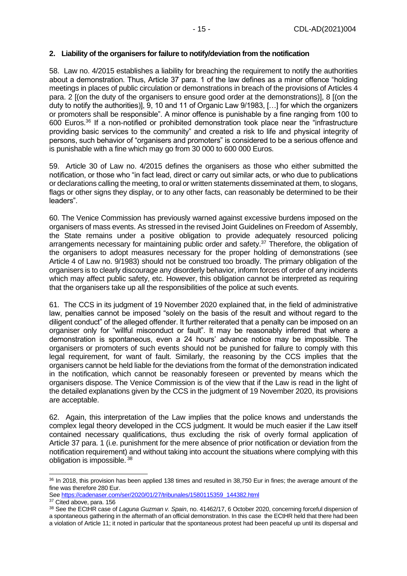#### <span id="page-14-0"></span>**2. Liability of the organisers for failure to notify/deviation from the notification**

58. Law no. 4/2015 establishes a liability for breaching the requirement to notify the authorities about a demonstration. Thus, Article 37 para. 1 of the law defines as a minor offence "holding meetings in places of public circulation or demonstrations in breach of the provisions of Articles 4 para. 2 [(on the duty of the organisers to ensure good order at the demonstrations)], 8 [(on the duty to notify the authorities)], 9, 10 and 11 of Organic Law 9/1983, […] for which the organizers or promoters shall be responsible". A minor offence is punishable by a fine ranging from 100 to 600 Euros.<sup>36</sup> If a non-notified or prohibited demonstration took place near the "infrastructure providing basic services to the community" and created a risk to life and physical integrity of persons, such behavior of "organisers and promoters" is considered to be a serious offence and is punishable with a fine which may go from 30 000 to 600 000 Euros.

59. Article 30 of Law no. 4/2015 defines the organisers as those who either submitted the notification, or those who "in fact lead, direct or carry out similar acts, or who due to publications or declarations calling the meeting, to oral or written statements disseminated at them, to slogans, flags or other signs they display, or to any other facts, can reasonably be determined to be their leaders".

60. The Venice Commission has previously warned against excessive burdens imposed on the organisers of mass events. As stressed in the revised Joint Guidelines on Freedom of Assembly, the State remains under a positive obligation to provide adequately resourced policing arrangements necessary for maintaining public order and safety.<sup>37</sup> Therefore, the obligation of the organisers to adopt measures necessary for the proper holding of demonstrations (see Article 4 of Law no. 9/1983) should not be construed too broadly. The primary obligation of the organisers is to clearly discourage any disorderly behavior, inform forces of order of any incidents which may affect public safety, etc. However, this obligation cannot be interpreted as requiring that the organisers take up all the responsibilities of the police at such events.

61. The CCS in its judgment of 19 November 2020 explained that, in the field of administrative law, penalties cannot be imposed "solely on the basis of the result and without regard to the diligent conduct" of the alleged offender. It further reiterated that a penalty can be imposed on an organiser only for "willful misconduct or fault". It may be reasonably inferred that where a demonstration is spontaneous, even a 24 hours' advance notice may be impossible. The organisers or promoters of such events should not be punished for failure to comply with this legal requirement, for want of fault. Similarly, the reasoning by the CCS implies that the organisers cannot be held liable for the deviations from the format of the demonstration indicated in the notification, which cannot be reasonably foreseen or prevented by means which the organisers dispose. The Venice Commission is of the view that if the Law is read in the light of the detailed explanations given by the CCS in the judgment of 19 November 2020, its provisions are acceptable.

62. Again, this interpretation of the Law implies that the police knows and understands the complex legal theory developed in the CCS judgment. It would be much easier if the Law itself contained necessary qualifications, thus excluding the risk of overly formal application of Article 37 para. 1 (i.e. punishment for the mere absence of prior notification or deviation from the notification requirement) and without taking into account the situations where complying with this obligation is impossible. <sup>38</sup>

<sup>36</sup> In 2018, this provision has been applied 138 times and resulted in 38,750 Eur in fines; the average amount of the fine was therefore 280 Eur.

See [https://cadenaser.com/ser/2020/01/27/tribunales/1580115359\\_144382.html](https://cadenaser.com/ser/2020/01/27/tribunales/1580115359_144382.html)

<sup>&</sup>lt;sup>37</sup> Cited above, para. 156

<sup>38</sup> See the ECtHR case of *Laguna Guzman v. Spain*, no. 41462/17, 6 October 2020, concerning forceful dispersion of a spontaneous gathering in the aftermath of an official demonstration. In this case the ECtHR held that there had been a violation of Article 11; it noted in particular that the spontaneous protest had been peaceful up until its dispersal and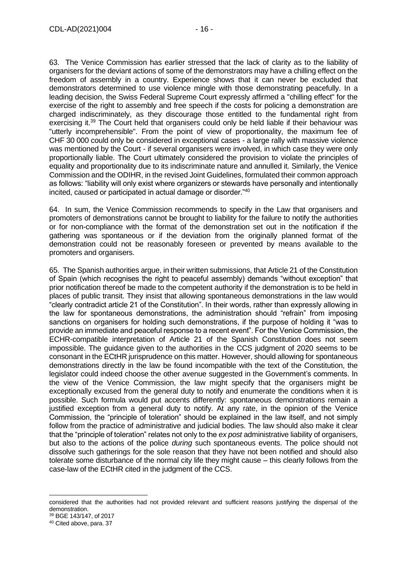63. The Venice Commission has earlier stressed that the lack of clarity as to the liability of organisers for the deviant actions of some of the demonstrators may have a chilling effect on the freedom of assembly in a country. Experience shows that it can never be excluded that demonstrators determined to use violence mingle with those demonstrating peacefully. In a leading decision, the Swiss Federal Supreme Court expressly affirmed a "chilling effect" for the exercise of the right to assembly and free speech if the costs for policing a demonstration are charged indiscriminately, as they discourage those entitled to the fundamental right from exercising it.<sup>39</sup> The Court held that organisers could only be held liable if their behaviour was "utterly incomprehensible". From the point of view of proportionality, the maximum fee of CHF 30 000 could only be considered in exceptional cases - a large rally with massive violence was mentioned by the Court - if several organisers were involved, in which case they were only proportionally liable. The Court ultimately considered the provision to violate the principles of equality and proportionality due to its indiscriminate nature and annulled it. Similarly, the Venice Commission and the ODIHR, in the revised Joint Guidelines, formulated their common approach as follows: "liability will only exist where organizers or stewards have personally and intentionally incited, caused or participated in actual damage or disorder."<sup>40</sup>

64. In sum, the Venice Commission recommends to specify in the Law that organisers and promoters of demonstrations cannot be brought to liability for the failure to notify the authorities or for non-compliance with the format of the demonstration set out in the notification if the gathering was spontaneous or if the deviation from the originally planned format of the demonstration could not be reasonably foreseen or prevented by means available to the promoters and organisers.

65. The Spanish authorities argue, in their written submissions, that Article 21 of the Constitution of Spain (which recognises the right to peaceful assembly) demands "without exception" that prior notification thereof be made to the competent authority if the demonstration is to be held in places of public transit. They insist that allowing spontaneous demonstrations in the law would "clearly contradict article 21 of the Constitution". In their words, rather than expressly allowing in the law for spontaneous demonstrations, the administration should "refrain" from imposing sanctions on organisers for holding such demonstrations, if the purpose of holding it "was to provide an immediate and peaceful response to a recent event". For the Venice Commission, the ECHR-compatible interpretation of Article 21 of the Spanish Constitution does not seem impossible. The guidance given to the authorities in the CCS judgment of 2020 seems to be consonant in the ECtHR jurisprudence on this matter. However, should allowing for spontaneous demonstrations directly in the law be found incompatible with the text of the Constitution, the legislator could indeed choose the other avenue suggested in the Government's comments. In the view of the Venice Commission, the law might specify that the organisers might be exceptionally excused from the general duty to notify and enumerate the conditions when it is possible. Such formula would put accents differently: spontaneous demonstrations remain a justified exception from a general duty to notify. At any rate, in the opinion of the Venice Commission, the "principle of toleration" should be explained in the law itself, and not simply follow from the practice of administrative and judicial bodies. The law should also make it clear that the "principle of toleration" relates not only to the *ex post* administrative liability of organisers, but also to the actions of the police *during* such spontaneous events. The police should not dissolve such gatherings for the sole reason that they have not been notified and should also tolerate some disturbance of the normal city life they might cause – this clearly follows from the case-law of the ECtHR cited in the judgment of the CCS.

considered that the authorities had not provided relevant and sufficient reasons justifying the dispersal of the demonstration.

<sup>39</sup> BGE 143/147, of 2017

<sup>40</sup> Cited above, para. 37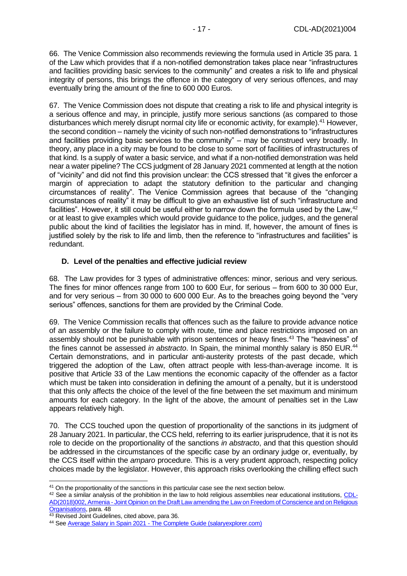66. The Venice Commission also recommends reviewing the formula used in Article 35 para. 1 of the Law which provides that if a non-notified demonstration takes place near "infrastructures and facilities providing basic services to the community" and creates a risk to life and physical integrity of persons, this brings the offence in the category of very serious offences, and may eventually bring the amount of the fine to 600 000 Euros.

67. The Venice Commission does not dispute that creating a risk to life and physical integrity is a serious offence and may, in principle, justify more serious sanctions (as compared to those disturbances which merely disrupt normal city life or economic activity, for example).<sup>41</sup> However, the second condition – namely the vicinity of such non-notified demonstrations to "infrastructures and facilities providing basic services to the community" – may be construed very broadly. In theory, any place in a city may be found to be close to some sort of facilities of infrastructures of that kind. Is a supply of water a basic service, and what if a non-notified demonstration was held near a water pipeline? The CCS judgment of 28 January 2021 commented at length at the notion of "vicinity" and did not find this provision unclear: the CCS stressed that "it gives the enforcer a margin of appreciation to adapt the statutory definition to the particular and changing circumstances of reality". The Venice Commission agrees that because of the "changing circumstances of reality" it may be difficult to give an exhaustive list of such "infrastructure and facilities". However, it still could be useful either to narrow down the formula used by the Law, <sup>42</sup> or at least to give examples which would provide guidance to the police, judges, and the general public about the kind of facilities the legislator has in mind. If, however, the amount of fines is justified solely by the risk to life and limb, then the reference to "infrastructures and facilities" is redundant.

#### <span id="page-16-0"></span>**D. Level of the penalties and effective judicial review**

68. The Law provides for 3 types of administrative offences: minor, serious and very serious. The fines for minor offences range from 100 to 600 Eur, for serious – from 600 to 30 000 Eur, and for very serious – from 30 000 to 600 000 Eur. As to the breaches going beyond the "very serious" offences, sanctions for them are provided by the Criminal Code.

69. The Venice Commission recalls that offences such as the failure to provide advance notice of an assembly or the failure to comply with route, time and place restrictions imposed on an assembly should not be punishable with prison sentences or heavy fines.<sup>43</sup> The "heaviness" of the fines cannot be assessed *in abstracto*. In Spain, the minimal monthly salary is 850 EUR.<sup>44</sup> Certain demonstrations, and in particular anti-austerity protests of the past decade, which triggered the adoption of the Law, often attract people with less-than-average income. It is positive that Article 33 of the Law mentions the economic capacity of the offender as a factor which must be taken into consideration in defining the amount of a penalty, but it is understood that this only affects the choice of the level of the fine between the set maximum and minimum amounts for each category. In the light of the above, the amount of penalties set in the Law appears relatively high.

70. The CCS touched upon the question of proportionality of the sanctions in its judgment of 28 January 2021. In particular, the CCS held, referring to its earlier jurisprudence, that it is not its role to decide on the proportionality of the sanctions *in abstracto*, and that this question should be addressed in the circumstances of the specific case by an ordinary judge or, eventually, by the CCS itself within the *amparo* procedure. This is a very prudent approach, respecting policy choices made by the legislator. However, this approach risks overlooking the chilling effect such

<sup>&</sup>lt;sup>41</sup> On the proportionality of the sanctions in this particular case see the next section below.

<sup>&</sup>lt;sup>42</sup> See a similar analysis of the prohibition in the law to hold religious assemblies near educational institutions, [CDL-](https://venice.coe.int/webforms/documents/?pdf=CDL-AD(2018)002-e)AD(2018)002, Armenia - [Joint Opinion on the Draft Law amending the Law on Freedom of Conscience and on Religious](https://venice.coe.int/webforms/documents/?pdf=CDL-AD(2018)002-e)  [Organisations,](https://venice.coe.int/webforms/documents/?pdf=CDL-AD(2018)002-e) para. 48

<sup>&</sup>lt;sup>43</sup> Revised Joint Guidelines, cited above, para 36.

<sup>44</sup> See Average Salary in Spain 2021 - [The Complete Guide \(salaryexplorer.com\)](http://www.salaryexplorer.com/salary-survey.php?loc=203&loctype=1#:~:text=%20The%20median,%20the%20maximum,%20the%20minimum,%20and,two%20values:%20the%2025th%20and%20the...%20More)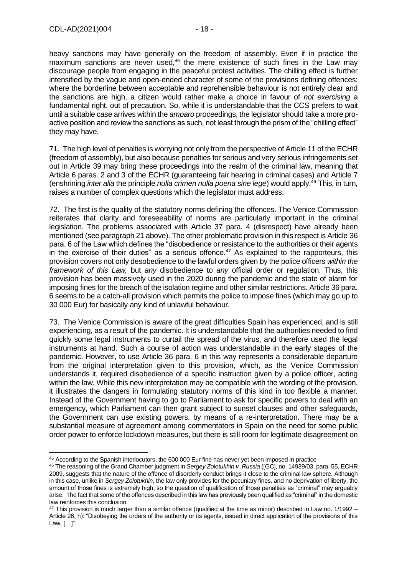heavy sanctions may have generally on the freedom of assembly. Even if in practice the maximum sanctions are never used,<sup>45</sup> the mere existence of such fines in the Law may discourage people from engaging in the peaceful protest activities. The chilling effect is further intensified by the vague and open-ended character of some of the provisions defining offences: where the borderline between acceptable and reprehensible behaviour is not entirely clear and the sanctions are high, a citizen would rather make a choice in favour of *not exercising* a fundamental right, out of precaution. So, while it is understandable that the CCS prefers to wait until a suitable case arrives within the *amparo* proceedings, the legislator should take a more proactive position and review the sanctions as such, not least through the prism of the "chilling effect" they may have.

71. The high level of penalties is worrying not only from the perspective of Article 11 of the ECHR (freedom of assembly), but also because penalties for serious and very serious infringements set out in Article 39 may bring these proceedings into the realm of the criminal law, meaning that Article 6 paras. 2 and 3 of the ECHR (guaranteeing fair hearing in criminal cases) and Article 7 (enshrining *inter alia* the principle *nulla crimen nulla poena sine lege*) would apply.<sup>46</sup> This, in turn, raises a number of complex questions which the legislator must address.

72. The first is the quality of the statutory norms defining the offences. The Venice Commission reiterates that clarity and foreseeability of norms are particularly important in the criminal legislation. The problems associated with Article 37 para. 4 (disrespect) have already been mentioned (see paragraph 21 above). The other problematic provision in this respect is Article 36 para. 6 of the Law which defines the "disobedience or resistance to the authorities or their agents in the exercise of their duties" as a serious offence.<sup>47</sup> As explained to the rapporteurs, this provision covers not only desobedience to the lawful orders given by the police officers *within the framework of this Law,* but *any* disobedience to *any* official order or regulation. Thus, this provision has been massively used in the 2020 during the pandemic and the state of alarm for imposing fines for the breach of the isolation regime and other similar restrictions. Article 36 para. 6 seems to be a catch-all provision which permits the police to impose fines (which may go up to 30 000 Eur) for basically any kind of unlawful behaviour.

73. The Venice Commission is aware of the great difficulties Spain has experienced, and is still experiencing, as a result of the pandemic. It is understandable that the authorities needed to find quickly some legal instruments to curtail the spread of the virus, and therefore used the legal instruments at hand. Such a course of action was understandable in the early stages of the pandemic. However, to use Article 36 para. 6 in this way represents a considerable departure from the original interpretation given to this provision, which, as the Venice Commission understands it, required disobedience of a specific instruction given by a police officer, acting within the law. While this new interpretation may be compatible with the wording of the provision, it illustrates the dangers in formulating statutory norms of this kind in too flexible a manner. Instead of the Government having to go to Parliament to ask for specific powers to deal with an emergency, which Parliament can then grant subject to sunset clauses and other safeguards, the Government can use existing powers, by means of a re-interpretation. There may be a substantial measure of agreement among commentators in Spain on the need for some public order power to enforce lockdown measures, but there is still room for legitimate disagreement on

<sup>45</sup> According to the Spanish interlocutors, the 600 000 Eur fine has never yet been imposed in practice

<sup>46</sup> The reasoning of the Grand Chamber judgment in *Sergey Zolotukhin v. Russia* ([GC], no. 14939/03, para. 55, ECHR 2009, suggests that the nature of the offence of disorderly conduct brings it close to the criminal law sphere. Although in this case, unlike in *Sergey Zolotukhin*, the law only provides for the pecuniary fines, and no deprivation of liberty, the amount of those fines is extremely high, so the question of qualification of those penalties as "criminal" may arguably arise. The fact that some of the offences described in this law has previously been qualified as "criminal" in the domestic law reinforces this conclusion.

 $47$  This provision is much larger than a similar offence (qualified at the time as minor) described in Law no.  $1/1992 -$ Article 26, h): "Disobeying the orders of the authority or its agents, issued in direct application of the provisions of this Law, […]".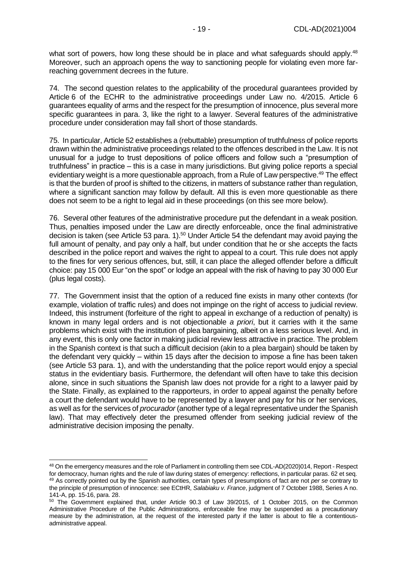what sort of powers, how long these should be in place and what safeguards should apply.<sup>48</sup> Moreover, such an approach opens the way to sanctioning people for violating even more farreaching government decrees in the future.

74. The second question relates to the applicability of the procedural guarantees provided by Article 6 of the ECHR to the administrative proceedings under Law no. 4/2015. Article 6 guarantees equality of arms and the respect for the presumption of innocence, plus several more specific guarantees in para. 3, like the right to a lawyer. Several features of the administrative procedure under consideration may fall short of those standards.

75. In particular, Article 52 establishes a (rebuttable) presumption of truthfulness of police reports drawn within the administrative proceedings related to the offences described in the Law. It is not unusual for a judge to trust depositions of police officers and follow such a "presumption of truthfulness" in practice – this is a case in many jurisdictions. But giving police reports a special evidentiary weight is a more questionable approach, from a Rule of Law perspective.<sup>49</sup> The effect is that the burden of proof is shifted to the citizens, in matters of substance rather than regulation, where a significant sanction may follow by default. All this is even more questionable as there does not seem to be a right to legal aid in these proceedings (on this see more below).

76. Several other features of the administrative procedure put the defendant in a weak position. Thus, penalties imposed under the Law are directly enforceable, once the final administrative decision is taken (see Article 53 para. 1).<sup>50</sup> Under Article 54 the defendant may avoid paying the full amount of penalty, and pay only a half, but under condition that he or she accepts the facts described in the police report and waives the right to appeal to a court. This rule does not apply to the fines for very serious offences, but, still, it can place the alleged offender before a difficult choice: pay 15 000 Eur "on the spot" or lodge an appeal with the risk of having to pay 30 000 Eur (plus legal costs).

77. The Government insist that the option of a reduced fine exists in many other contexts (for example, violation of traffic rules) and does not impinge on the right of access to judicial review. Indeed, this instrument (forfeiture of the right to appeal in exchange of a reduction of penalty) is known in many legal orders and is not objectionable *a priori*, but it carries with it the same problems which exist with the institution of plea bargaining, albeit on a less serious level. And, in any event, this is only one factor in making judicial review less attractive in practice. The problem in the Spanish context is that such a difficult decision (akin to a plea bargain) should be taken by the defendant very quickly – within 15 days after the decision to impose a fine has been taken (see Article 53 para. 1), and with the understanding that the police report would enjoy a special status in the evidentiary basis. Furthermore, the defendant will often have to take this decision alone, since in such situations the Spanish law does not provide for a right to a lawyer paid by the State. Finally, as explained to the rapporteurs, in order to appeal against the penalty before a court the defendant would have to be represented by a lawyer and pay for his or her services, as well as for the services of *procurador* (another type of a legal representative under the Spanish law). That may effectively deter the presumed offender from seeking judicial review of the administrative decision imposing the penalty.

<sup>48</sup> On the emergency measures and the role of Parliament in controlling them see CDL-AD(2020)014, Report - Respect for democracy, human rights and the rule of law during states of emergency: reflections, in particular paras. 62 et seq. <sup>49</sup> As correctly pointed out by the Spanish authorities, certain types of presumptions of fact are not *per se* contrary to the principle of presumption of innocence: see ECtHR, *Salabiaku v. France*, judgment of 7 October 1988, Series A no. 141-A, pp. 15-16, para. 28.

<sup>50</sup> The Government explained that, under Article 90.3 of Law 39/2015, of 1 October 2015, on the Common Administrative Procedure of the Public Administrations, enforceable fine may be suspended as a precautionary measure by the administration, at the request of the interested party if the latter is about to file a contentiousadministrative appeal.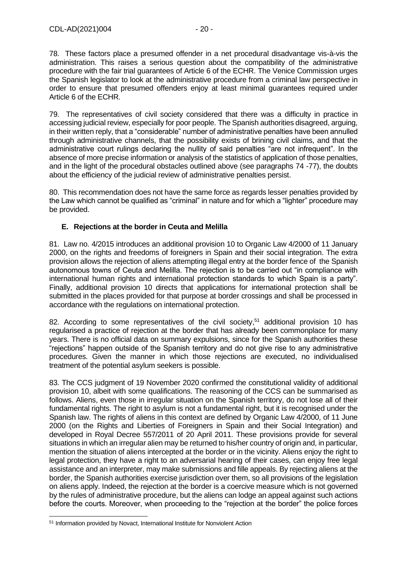78. These factors place a presumed offender in a net procedural disadvantage vis-à-vis the administration. This raises a serious question about the compatibility of the administrative procedure with the fair trial guarantees of Article 6 of the ECHR. The Venice Commission urges the Spanish legislator to look at the administrative procedure from a criminal law perspective in order to ensure that presumed offenders enjoy at least minimal guarantees required under Article 6 of the ECHR.

79. The representatives of civil society considered that there was a difficulty in practice in accessing judicial review, especially for poor people. The Spanish authorities disagreed, arguing, in their written reply, that a "considerable" number of administrative penalties have been annulled through administrative channels, that the possibility exists of brining civil claims, and that the administrative court rulings declaring the nullity of said penalties "are not infrequent". In the absence of more precise information or analysis of the statistics of application of those penalties, and in the light of the procedural obstacles outlined above (see paragraphs 74 -77), the doubts about the efficiency of the judicial review of administrative penalties persist.

80. This recommendation does not have the same force as regards lesser penalties provided by the Law which cannot be qualified as "criminal" in nature and for which a "lighter" procedure may be provided.

## <span id="page-19-0"></span>**E. Rejections at the border in Ceuta and Melilla**

81. Law no. 4/2015 introduces an additional provision 10 to Organic Law 4/2000 of 11 January 2000, on the rights and freedoms of foreigners in Spain and their social integration. The extra provision allows the rejection of aliens attempting illegal entry at the border fence of the Spanish autonomous towns of Ceuta and Melilla. The rejection is to be carried out "in compliance with international human rights and international protection standards to which Spain is a party". Finally, additional provision 10 directs that applications for international protection shall be submitted in the places provided for that purpose at border crossings and shall be processed in accordance with the regulations on international protection.

82. According to some representatives of the civil society,<sup>51</sup> additional provision 10 has regularised a practice of rejection at the border that has already been commonplace for many years. There is no official data on summary expulsions, since for the Spanish authorities these "rejections" happen outside of the Spanish territory and do not give rise to any administrative procedures. Given the manner in which those rejections are executed, no individualised treatment of the potential asylum seekers is possible.

83. The CCS judgment of 19 November 2020 confirmed the constitutional validity of additional provision 10, albeit with some qualifications. The reasoning of the CCS can be summarised as follows. Aliens, even those in irregular situation on the Spanish territory, do not lose all of their fundamental rights. The right to asylum is not a fundamental right, but it is recognised under the Spanish law. The rights of aliens in this context are defined by Organic Law 4/2000, of 11 June 2000 (on the Rights and Liberties of Foreigners in Spain and their Social Integration) and developed in Royal Decree 557/2011 of 20 April 2011. These provisions provide for several situations in which an irregular alien may be returned to his/her country of origin and, in particular, mention the situation of aliens intercepted at the border or in the vicinity. Aliens enjoy the right to legal protection, they have a right to an adversarial hearing of their cases, can enjoy free legal assistance and an interpreter, may make submissions and fille appeals. By rejecting aliens at the border, the Spanish authorities exercise jurisdiction over them, so all provisions of the legislation on aliens apply. Indeed, the rejection at the border is a coercive measure which is not governed by the rules of administrative procedure, but the aliens can lodge an appeal against such actions before the courts. Moreover, when proceeding to the "rejection at the border" the police forces

<sup>51</sup> Information provided by Novact, International Institute for Nonviolent Action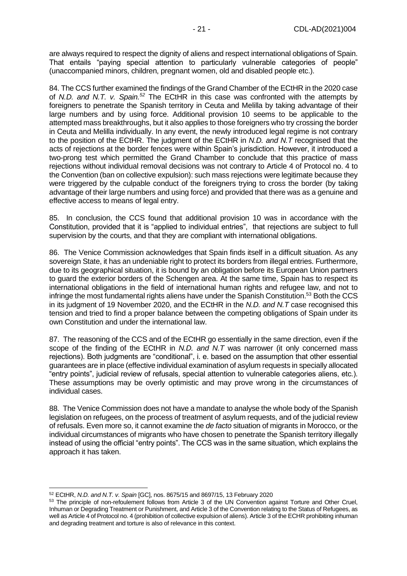are always required to respect the dignity of aliens and respect international obligations of Spain. That entails "paying special attention to particularly vulnerable categories of people" (unaccompanied minors, children, pregnant women, old and disabled people etc.).

84. The CCS further examined the findings of the Grand Chamber of the ECtHR in the 2020 case of *N.D. and N.T. v. Spain.<sup>52</sup>* The ECtHR in this case was confronted with the attempts by foreigners to penetrate the Spanish territory in Ceuta and Melilla by taking advantage of their large numbers and by using force. Additional provision 10 seems to be applicable to the attempted mass breakthroughs, but it also applies to those foreigners who try crossing the border in Ceuta and Melilla individually. In any event, the newly introduced legal regime is not contrary to the position of the ECtHR. The judgment of the ECtHR in *N.D. and N.T* recognised that the acts of rejections at the border fences were within Spain's jurisdiction. However, it introduced a two-prong test which permitted the Grand Chamber to conclude that this practice of mass rejections without individual removal decisions was not contrary to Article 4 of Protocol no. 4 to the Convention (ban on collective expulsion): such mass rejections were legitimate because they were triggered by the culpable conduct of the foreigners trying to cross the border (by taking advantage of their large numbers and using force) and provided that there was as a genuine and effective access to means of legal entry.

85. In conclusion, the CCS found that additional provision 10 was in accordance with the Constitution, provided that it is "applied to individual entries", that rejections are subject to full supervision by the courts, and that they are compliant with international obligations.

86. The Venice Commission acknowledges that Spain finds itself in a difficult situation. As any sovereign State, it has an undeniable right to protect its borders from illegal entries. Furthermore, due to its geographical situation, it is bound by an obligation before its European Union partners to guard the exterior borders of the Schengen area. At the same time, Spain has to respect its international obligations in the field of international human rights and refugee law, and not to infringe the most fundamental rights aliens have under the Spanish Constitution.<sup>53</sup> Both the CCS in its judgment of 19 November 2020, and the ECtHR in the *N.D. and N.T* case recognised this tension and tried to find a proper balance between the competing obligations of Spain under its own Constitution and under the international law.

87. The reasoning of the CCS and of the ECtHR go essentially in the same direction, even if the scope of the finding of the ECtHR in *N.D. and N.T* was narrower (it only concerned mass rejections). Both judgments are "conditional", i. e. based on the assumption that other essential guarantees are in place (effective individual examination of asylum requests in specially allocated "entry points", judicial review of refusals, special attention to vulnerable categories aliens, etc.). These assumptions may be overly optimistic and may prove wrong in the circumstances of individual cases.

88. The Venice Commission does not have a mandate to analyse the whole body of the Spanish legislation on refugees, on the process of treatment of asylum requests, and of the judicial review of refusals. Even more so, it cannot examine the *de facto* situation of migrants in Morocco, or the individual circumstances of migrants who have chosen to penetrate the Spanish territory illegally instead of using the official "entry points". The CCS was in the same situation, which explains the approach it has taken.

<sup>52</sup> ECtHR, *N.D. and N.T. v. Spain* [GC], nos. 8675/15 and 8697/15, 13 February 2020

<sup>53</sup> The principle of non-refoulement follows from Article 3 of the UN Convention against Torture and Other Cruel, Inhuman or Degrading Treatment or Punishment, and Article 3 of the Convention relating to the Status of Refugees, as well as Article 4 of Protocol no. 4 (prohibition of collective expulsion of aliens). Article 3 of the ECHR prohibiting inhuman and degrading treatment and torture is also of relevance in this context.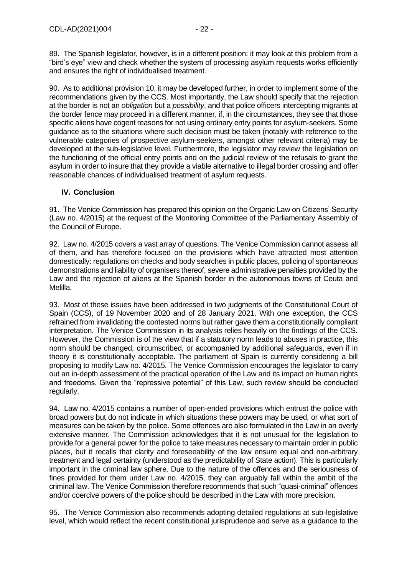89. The Spanish legislator, however, is in a different position: it may look at this problem from a "bird's eye" view and check whether the system of processing asylum requests works efficiently and ensures the right of individualised treatment.

90. As to additional provision 10, it may be developed further, in order to implement some of the recommendations given by the CCS. Most importantly, the Law should specify that the rejection at the border is not an *obligation* but a *possibility*, and that police officers intercepting migrants at the border fence may proceed in a different manner, if, in the circumstances, they see that those specific aliens have cogent reasons for not using ordinary entry points for asylum-seekers. Some guidance as to the situations where such decision must be taken (notably with reference to the vulnerable categories of prospective asylum-seekers, amongst other relevant criteria) may be developed at the sub-legislative level. Furthermore, the legislator may review the legislation on the functioning of the official entry points and on the judicial review of the refusals to grant the asylum in order to insure that they provide a viable alternative to illegal border crossing and offer reasonable chances of individualised treatment of asylum requests.

## <span id="page-21-0"></span>**IV. Conclusion**

91. The Venice Commission has prepared this opinion on the Organic Law on Citizens' Security (Law no. 4/2015) at the request of the Monitoring Committee of the Parliamentary Assembly of the Council of Europe.

92. Law no. 4/2015 covers a vast array of questions. The Venice Commission cannot assess all of them, and has therefore focused on the provisions which have attracted most attention domestically: regulations on checks and body searches in public places, policing of spontaneous demonstrations and liability of organisers thereof, severe administrative penalties provided by the Law and the rejection of aliens at the Spanish border in the autonomous towns of Ceuta and Melilla.

93. Most of these issues have been addressed in two judgments of the Constitutional Court of Spain (CCS), of 19 November 2020 and of 28 January 2021. With one exception, the CCS refrained from invalidating the contested norms but rather gave them a constitutionally compliant interpretation. The Venice Commission in its analysis relies heavily on the findings of the CCS. However, the Commission is of the view that if a statutory norm leads to abuses in practice, this norm should be changed, circumscribed, or accompanied by additional safeguards, even if in theory it is constitutionally acceptable. The parliament of Spain is currently considering a bill proposing to modify Law no. 4/2015. The Venice Commission encourages the legislator to carry out an in-depth assessment of the practical operation of the Law and its impact on human rights and freedoms. Given the "repressive potential" of this Law, such review should be conducted regularly.

94. Law no. 4/2015 contains a number of open-ended provisions which entrust the police with broad powers but do not indicate in which situations these powers may be used, or what sort of measures can be taken by the police. Some offences are also formulated in the Law in an overly extensive manner. The Commission acknowledges that it is not unusual for the legislation to provide for a general power for the police to take measures necessary to maintain order in public places, but it recalls that clarity and foreseeability of the law ensure equal and non-arbitrary treatment and legal certainty (understood as the predictability of State action). This is particularly important in the criminal law sphere. Due to the nature of the offences and the seriousness of fines provided for them under Law no. 4/2015, they can arguably fall within the ambit of the criminal law. The Venice Commission therefore recommends that such "quasi-criminal" offences and/or coercive powers of the police should be described in the Law with more precision.

95. The Venice Commission also recommends adopting detailed regulations at sub-legislative level, which would reflect the recent constitutional jurisprudence and serve as a guidance to the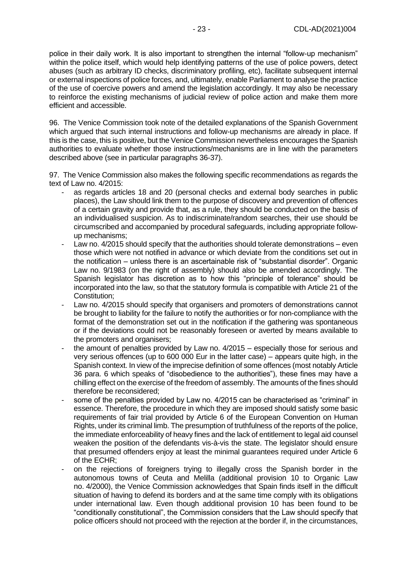police in their daily work. It is also important to strengthen the internal "follow-up mechanism" within the police itself, which would help identifying patterns of the use of police powers, detect abuses (such as arbitrary ID checks, discriminatory profiling, etc), facilitate subsequent internal or external inspections of police forces, and, ultimately, enable Parliament to analyse the practice of the use of coercive powers and amend the legislation accordingly. It may also be necessary to reinforce the existing mechanisms of judicial review of police action and make them more efficient and accessible.

96. The Venice Commission took note of the detailed explanations of the Spanish Government which argued that such internal instructions and follow-up mechanisms are already in place. If this is the case, this is positive, but the Venice Commission nevertheless encourages the Spanish authorities to evaluate whether those instructions/mechanisms are in line with the parameters described above (see in particular paragraphs 36-37).

97. The Venice Commission also makes the following specific recommendations as regards the text of Law no. 4/2015:

- as regards articles 18 and 20 (personal checks and external body searches in public places), the Law should link them to the purpose of discovery and prevention of offences of a certain gravity and provide that, as a rule, they should be conducted on the basis of an individualised suspicion. As to indiscriminate/random searches, their use should be circumscribed and accompanied by procedural safeguards, including appropriate followup mechanisms;
- Law no. 4/2015 should specify that the authorities should tolerate demonstrations even those which were not notified in advance or which deviate from the conditions set out in the notification – unless there is an ascertainable risk of "substantial disorder". Organic Law no. 9/1983 (on the right of assembly) should also be amended accordingly. The Spanish legislator has discretion as to how this "principle of tolerance" should be incorporated into the law, so that the statutory formula is compatible with Article 21 of the Constitution;
- Law no. 4/2015 should specify that organisers and promoters of demonstrations cannot be brought to liability for the failure to notify the authorities or for non-compliance with the format of the demonstration set out in the notification if the gathering was spontaneous or if the deviations could not be reasonably foreseen or averted by means available to the promoters and organisers;
- the amount of penalties provided by Law no.  $4/2015$  especially those for serious and very serious offences (up to 600 000 Eur in the latter case) – appears quite high, in the Spanish context. In view of the imprecise definition of some offences (most notably Article 36 para. 6 which speaks of "disobedience to the authorities"), these fines may have a chilling effect on the exercise of the freedom of assembly. The amounts of the fines should therefore be reconsidered;
- some of the penalties provided by Law no. 4/2015 can be characterised as "criminal" in essence. Therefore, the procedure in which they are imposed should satisfy some basic requirements of fair trial provided by Article 6 of the European Convention on Human Rights, under its criminal limb. The presumption of truthfulness of the reports of the police, the immediate enforceability of heavy fines and the lack of entitlement to legal aid counsel weaken the position of the defendants vis-à-vis the state. The legislator should ensure that presumed offenders enjoy at least the minimal guarantees required under Article 6 of the ECHR;
- on the rejections of foreigners trying to illegally cross the Spanish border in the autonomous towns of Ceuta and Melilla (additional provision 10 to Organic Law no. 4/2000), the Venice Commission acknowledges that Spain finds itself in the difficult situation of having to defend its borders and at the same time comply with its obligations under international law. Even though additional provision 10 has been found to be "conditionally constitutional", the Commission considers that the Law should specify that police officers should not proceed with the rejection at the border if, in the circumstances,